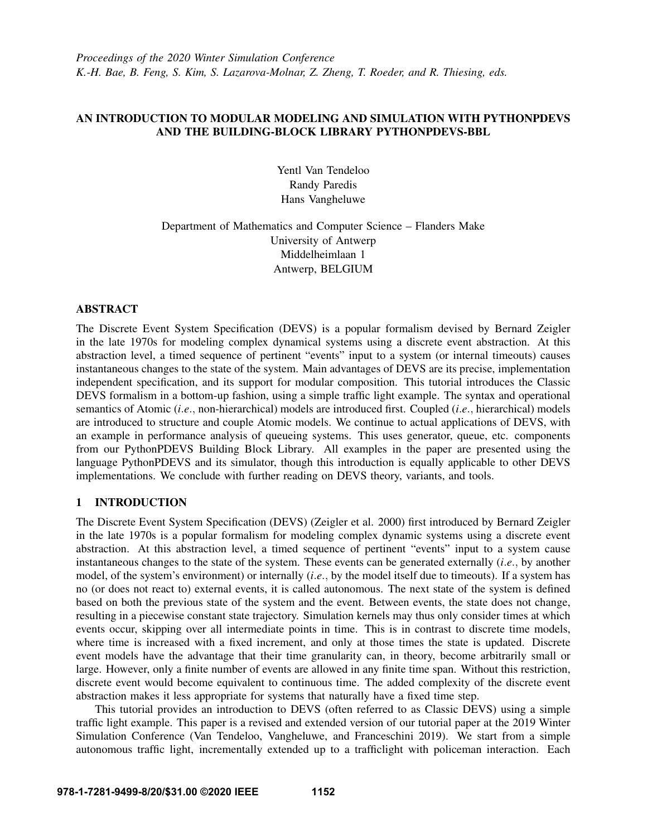*Proceedings of the 2020 Winter Simulation Conference K.-H. Bae, B. Feng, S. Kim, S. Lazarova-Molnar, Z. Zheng, T. Roeder, and R. Thiesing, eds.*

## AN INTRODUCTION TO MODULAR MODELING AND SIMULATION WITH PYTHONPDEVS AND THE BUILDING-BLOCK LIBRARY PYTHONPDEVS-BBL

Yentl Van Tendeloo Randy Paredis Hans Vangheluwe

# Department of Mathematics and Computer Science – Flanders Make University of Antwerp Middelheimlaan 1 Antwerp, BELGIUM

### ABSTRACT

The Discrete Event System Specification (DEVS) is a popular formalism devised by Bernard Zeigler in the late 1970s for modeling complex dynamical systems using a discrete event abstraction. At this abstraction level, a timed sequence of pertinent "events" input to a system (or internal timeouts) causes instantaneous changes to the state of the system. Main advantages of DEVS are its precise, implementation independent specification, and its support for modular composition. This tutorial introduces the Classic DEVS formalism in a bottom-up fashion, using a simple traffic light example. The syntax and operational semantics of Atomic (*i*.*e*., non-hierarchical) models are introduced first. Coupled (*i*.*e*., hierarchical) models are introduced to structure and couple Atomic models. We continue to actual applications of DEVS, with an example in performance analysis of queueing systems. This uses generator, queue, etc. components from our PythonPDEVS Building Block Library. All examples in the paper are presented using the language PythonPDEVS and its simulator, though this introduction is equally applicable to other DEVS implementations. We conclude with further reading on DEVS theory, variants, and tools.

## 1 INTRODUCTION

The Discrete Event System Specification (DEVS) [\(Zeigler et al. 2000\)](#page-14-0) first introduced by Bernard Zeigler in the late 1970s is a popular formalism for modeling complex dynamic systems using a discrete event abstraction. At this abstraction level, a timed sequence of pertinent "events" input to a system cause instantaneous changes to the state of the system. These events can be generated externally (*i*.*e*., by another model, of the system's environment) or internally (*i*.*e*., by the model itself due to timeouts). If a system has no (or does not react to) external events, it is called autonomous. The next state of the system is defined based on both the previous state of the system and the event. Between events, the state does not change, resulting in a piecewise constant state trajectory. Simulation kernels may thus only consider times at which events occur, skipping over all intermediate points in time. This is in contrast to discrete time models, where time is increased with a fixed increment, and only at those times the state is updated. Discrete event models have the advantage that their time granularity can, in theory, become arbitrarily small or large. However, only a finite number of events are allowed in any finite time span. Without this restriction, discrete event would become equivalent to continuous time. The added complexity of the discrete event abstraction makes it less appropriate for systems that naturally have a fixed time step.

This tutorial provides an introduction to DEVS (often referred to as Classic DEVS) using a simple traffic light example. This paper is a revised and extended version of our tutorial paper at the 2019 Winter Simulation Conference [\(Van Tendeloo, Vangheluwe, and Franceschini 2019\)](#page-14-1). We start from a simple autonomous traffic light, incrementally extended up to a trafficlight with policeman interaction. Each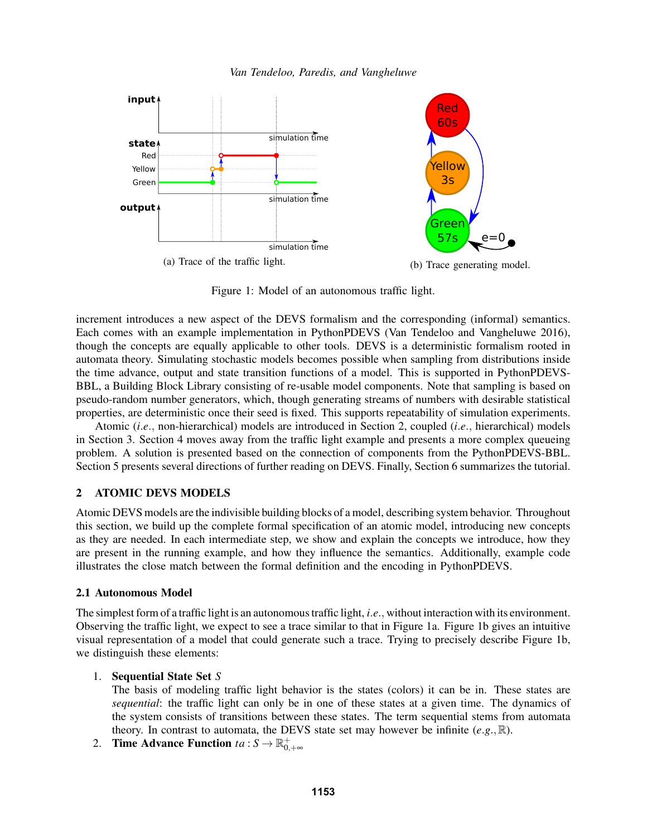

<span id="page-1-1"></span>

Figure 1: Model of an autonomous traffic light.

increment introduces a new aspect of the DEVS formalism and the corresponding (informal) semantics. Each comes with an example implementation in PythonPDEVS [\(Van Tendeloo and Vangheluwe 2016\)](#page-14-2), though the concepts are equally applicable to other tools. DEVS is a deterministic formalism rooted in automata theory. Simulating stochastic models becomes possible when sampling from distributions inside the time advance, output and state transition functions of a model. This is supported in PythonPDEVS-BBL, a Building Block Library consisting of re-usable model components. Note that sampling is based on pseudo-random number generators, which, though generating streams of numbers with desirable statistical properties, are deterministic once their seed is fixed. This supports repeatability of simulation experiments.

Atomic (*i*.*e*., non-hierarchical) models are introduced in Section [2,](#page-1-0) coupled (*i*.*e*., hierarchical) models in Section [3.](#page-7-0) Section [4](#page-10-0) moves away from the traffic light example and presents a more complex queueing problem. A solution is presented based on the connection of components from the PythonPDEVS-BBL. Section [5](#page-12-0) presents several directions of further reading on DEVS. Finally, Section [6](#page-13-0) summarizes the tutorial.

## <span id="page-1-0"></span>2 ATOMIC DEVS MODELS

Atomic DEVS models are the indivisible building blocks of a model, describing system behavior. Throughout this section, we build up the complete formal specification of an atomic model, introducing new concepts as they are needed. In each intermediate step, we show and explain the concepts we introduce, how they are present in the running example, and how they influence the semantics. Additionally, example code illustrates the close match between the formal definition and the encoding in PythonPDEVS.

## 2.1 Autonomous Model

The simplest form of a traffic light is an autonomous traffic light, *i*.*e*., without interaction with its environment. Observing the traffic light, we expect to see a trace similar to that in Figure [1a.](#page-1-1) Figure [1b](#page-1-1) gives an intuitive visual representation of a model that could generate such a trace. Trying to precisely describe Figure [1b,](#page-1-1) we distinguish these elements:

## 1. Sequential State Set *S*

The basis of modeling traffic light behavior is the states (colors) it can be in. These states are *sequential*: the traffic light can only be in one of these states at a given time. The dynamics of the system consists of transitions between these states. The term sequential stems from automata theory. In contrast to automata, the DEVS state set may however be infinite  $(e, g, \mathbb{R})$ .

2. **Time Advance Function**  $ta : S \to \mathbb{R}^+_{0,+\infty}$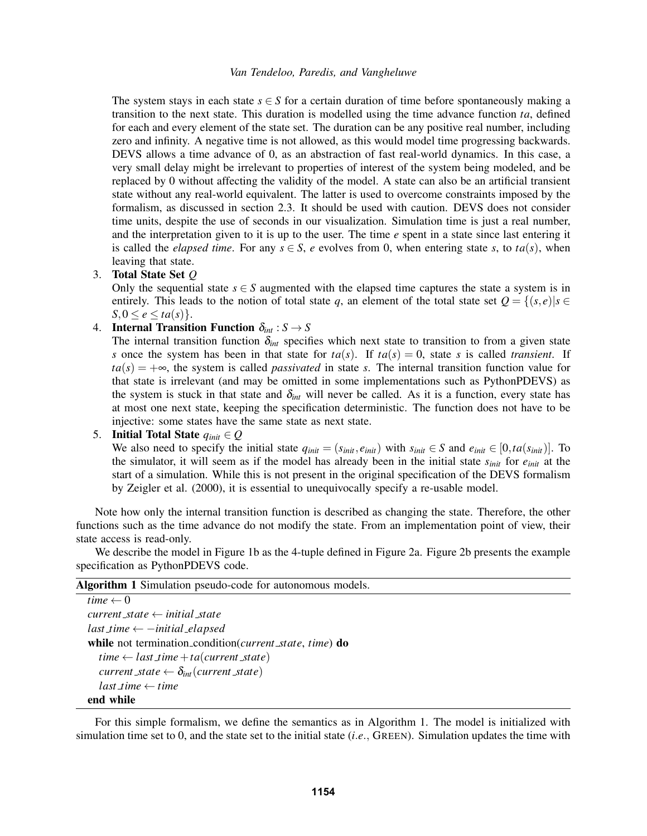The system stays in each state  $s \in S$  for a certain duration of time before spontaneously making a transition to the next state. This duration is modelled using the time advance function *ta*, defined for each and every element of the state set. The duration can be any positive real number, including zero and infinity. A negative time is not allowed, as this would model time progressing backwards. DEVS allows a time advance of 0, as an abstraction of fast real-world dynamics. In this case, a very small delay might be irrelevant to properties of interest of the system being modeled, and be replaced by 0 without affecting the validity of the model. A state can also be an artificial transient state without any real-world equivalent. The latter is used to overcome constraints imposed by the formalism, as discussed in section [2.3.](#page-5-0) It should be used with caution. DEVS does not consider time units, despite the use of seconds in our visualization. Simulation time is just a real number, and the interpretation given to it is up to the user. The time *e* spent in a state since last entering it is called the *elapsed time*. For any  $s \in S$ , *e* evolves from 0, when entering state *s*, to  $ta(s)$ , when leaving that state.

### 3. Total State Set *Q*

Only the sequential state  $s \in S$  augmented with the elapsed time captures the state a system is in entirely. This leads to the notion of total state *q*, an element of the total state set  $Q = \{(s, e) | s \in$  $S, 0 \leq e \leq ta(s)$ .

4. **Internal Transition Function**  $\delta_{int}: S \rightarrow S$ 

The internal transition function  $\delta_{int}$  specifies which next state to transition to from a given state *s* once the system has been in that state for  $ta(s)$ . If  $ta(s) = 0$ , state *s* is called *transient*. If  $ta(s) = +\infty$ , the system is called *passivated* in state *s*. The internal transition function value for that state is irrelevant (and may be omitted in some implementations such as PythonPDEVS) as the system is stuck in that state and  $\delta_{int}$  will never be called. As it is a function, every state has at most one next state, keeping the specification deterministic. The function does not have to be injective: some states have the same state as next state.

# 5. **Initial Total State**  $q_{init} \in Q$

We also need to specify the initial state  $q_{init} = (s_{init}, e_{init})$  with  $s_{init} \in S$  and  $e_{init} \in [0, ta(s_{init})]$ . To the simulator, it will seem as if the model has already been in the initial state *sinit* for *einit* at the start of a simulation. While this is not present in the original specification of the DEVS formalism by [Zeigler et al. \(2000\),](#page-14-0) it is essential to unequivocally specify a re-usable model.

Note how only the internal transition function is described as changing the state. Therefore, the other functions such as the time advance do not modify the state. From an implementation point of view, their state access is read-only.

We describe the model in Figure [1b](#page-1-1) as the 4-tuple defined in Figure [2a.](#page-3-0) Figure [2b](#page-3-0) presents the example specification as PythonPDEVS code.

#### <span id="page-2-0"></span>Algorithm 1 Simulation pseudo-code for autonomous models.

| time $\leftarrow 0$                                              |
|------------------------------------------------------------------|
| $current\_state \leftarrow initial\_state$                       |
| $last\_time \leftarrow -initial\_elapsed$                        |
| while not termination_condition( <i>current_state, time</i> ) do |
| $time \leftarrow last\_time + ta(current\_state)$                |
| current_state $\leftarrow \delta_{int}(current\_state)$          |
| $last_time \leftarrow time$                                      |
| end while                                                        |

For this simple formalism, we define the semantics as in Algorithm [1.](#page-2-0) The model is initialized with simulation time set to 0, and the state set to the initial state (*i*.*e*., GREEN). Simulation updates the time with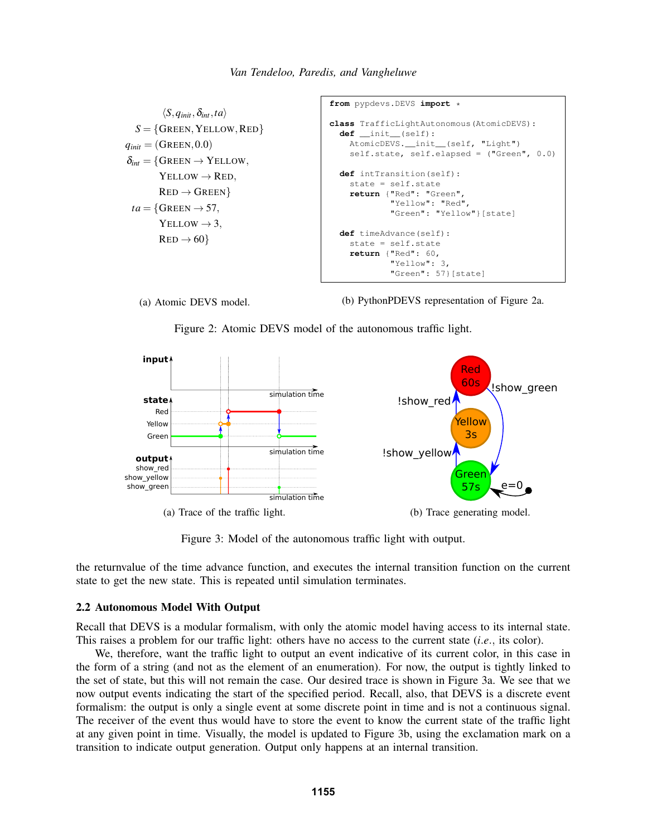```
\langle S, q_{\text{init}}, \delta_{\text{int}}, ta \rangleS = \{GREEN, YELLOW, RED\}q_{init} = (G_{REEN}, 0.0)\delta_{int} = \{GREEN \rightarrow YELLOW,
        YELLOW \rightarrow RED.
        RED \rightarrow GREENta = \{Green \rightarrow 57,YELLOW \rightarrow 3,
        RED \rightarrow 60from pypdevs.DEVS import *
                                                  class TrafficLightAutonomous(AtomicDEVS):
                                                     def __init__(self):
                                                       AtomicDEVS.__init__(self, "Light")
                                                       self.state, self.elapsed = ("Green", 0.0)
                                                     def intTransition(self):
                                                       state = self.state
                                                       return {"Red": "Green",
                                                                 "Yellow": "Red",
                                                                 "Green": "Yellow"}[state]
                                                     def timeAdvance(self):
                                                       state = self.state
                                                       return {"Red": 60,
                                                                 "Yellow": 3,
                                                                 "Green": 57}[state]
```


(b) PythonPDEVS representation of Figure [2a.](#page-3-0)

Figure 2: Atomic DEVS model of the autonomous traffic light.

<span id="page-3-1"></span>

Figure 3: Model of the autonomous traffic light with output.

the returnvalue of the time advance function, and executes the internal transition function on the current state to get the new state. This is repeated until simulation terminates.

#### 2.2 Autonomous Model With Output

Recall that DEVS is a modular formalism, with only the atomic model having access to its internal state. This raises a problem for our traffic light: others have no access to the current state (*i*.*e*., its color).

We, therefore, want the traffic light to output an event indicative of its current color, in this case in the form of a string (and not as the element of an enumeration). For now, the output is tightly linked to the set of state, but this will not remain the case. Our desired trace is shown in Figure [3a.](#page-3-1) We see that we now output events indicating the start of the specified period. Recall, also, that DEVS is a discrete event formalism: the output is only a single event at some discrete point in time and is not a continuous signal. The receiver of the event thus would have to store the event to know the current state of the traffic light at any given point in time. Visually, the model is updated to Figure [3b,](#page-3-1) using the exclamation mark on a transition to indicate output generation. Output only happens at an internal transition.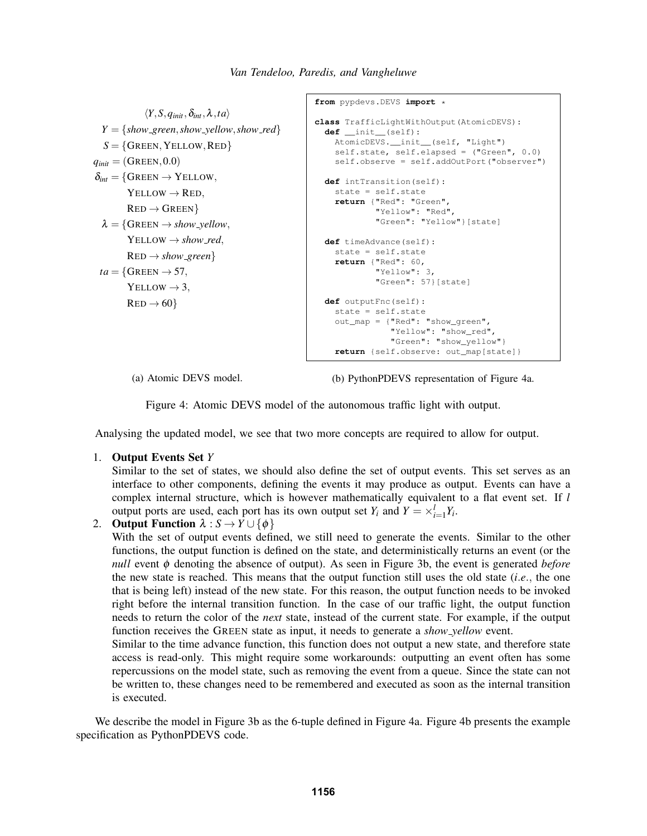```
\langle Y, S, q_{init}, \delta_{int}, \lambda, ta \rangleY = \{show\_green, show\_yellow, show\_red\}S = \{GREEN, YELLOW, RED\}q_{init} = (G_{REEN}, 0.0)\delta_{int} = \{GREEN \rightarrow YELLOW,
        YELLOW \rightarrow RED,RED \rightarrow GREEN\lambda = \{GREEN \rightarrow show_yellow,
        YELLOW \rightarrow show\_red,RED \rightarrow show\_greenta = \{Green \rightarrow 57,YELLOW \rightarrow 3.
        RED \rightarrow 60from pypdevs.DEVS import *
                                                    class TrafficLightWithOutput(AtomicDEVS):
                                                      def __init__(self):
                                                         AtomicDEVS.__init__(self, "Light")
                                                         self.state, self.elapsed = ("Green", 0.0)
                                                         self.observe = self.addOutPort("observer")
                                                       def intTransition(self):
                                                         state = self.state
                                                         return {"Red": "Green",
                                                                   "Yellow": "Red",
                                                                   "Green": "Yellow"}[state]
                                                       def timeAdvance(self):
                                                         state = self.state
                                                         return {"Red": 60,
                                                                   "Yellow": 3,
                                                                   "Green": 57}[state]
                                                      def outputFnc(self):
                                                         state = self.state
                                                         out_map = {"Red": "show_green",
                                                                      "Yellow": "show_red",
                                                                      "Green": "show_yellow"}
                                                         return {self.observe: out_map[state]}
```
(a) Atomic DEVS model.

(b) PythonPDEVS representation of Figure [4a.](#page-4-0)

Figure 4: Atomic DEVS model of the autonomous traffic light with output.

Analysing the updated model, we see that two more concepts are required to allow for output.

### 1. Output Events Set *Y*

Similar to the set of states, we should also define the set of output events. This set serves as an interface to other components, defining the events it may produce as output. Events can have a complex internal structure, which is however mathematically equivalent to a flat event set. If *l* output ports are used, each port has its own output set  $Y_i$  and  $Y = \times_{i=1}^l Y_i$ .

2. **Output Function**  $\lambda : S \rightarrow Y \cup \{\phi\}$ 

With the set of output events defined, we still need to generate the events. Similar to the other functions, the output function is defined on the state, and deterministically returns an event (or the *null* event φ denoting the absence of output). As seen in Figure [3b,](#page-3-1) the event is generated *before* the new state is reached. This means that the output function still uses the old state (*i*.*e*., the one that is being left) instead of the new state. For this reason, the output function needs to be invoked right before the internal transition function. In the case of our traffic light, the output function needs to return the color of the *next* state, instead of the current state. For example, if the output function receives the GREEN state as input, it needs to generate a *show yellow* event.

Similar to the time advance function, this function does not output a new state, and therefore state access is read-only. This might require some workarounds: outputting an event often has some repercussions on the model state, such as removing the event from a queue. Since the state can not be written to, these changes need to be remembered and executed as soon as the internal transition is executed.

We describe the model in Figure [3b](#page-3-1) as the 6-tuple defined in Figure [4a.](#page-4-0) Figure [4b](#page-4-0) presents the example specification as PythonPDEVS code.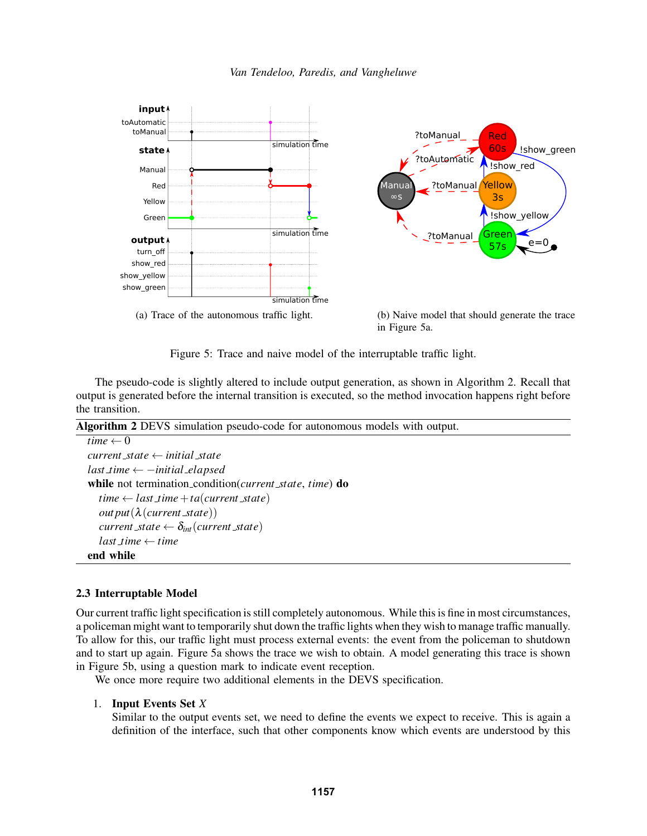

<span id="page-5-1"></span>![](_page_5_Figure_1.jpeg)

Figure 5: Trace and naive model of the interruptable traffic light.

The pseudo-code is slightly altered to include output generation, as shown in Algorithm [2.](#page-5-2) Recall that output is generated before the internal transition is executed, so the method invocation happens right before the transition.

<span id="page-5-2"></span>Algorithm 2 DEVS simulation pseudo-code for autonomous models with output.

```
time \leftarrow 0current state ← initial state
last time ← −initial elapsed
while not termination condition(current state, time) do
  time \leftarrow last_time + ta(current-state)out put(λ(current state))
  current\_state \leftarrow \delta_{int}(current\_state)last time ← time
end while
```
## <span id="page-5-0"></span>2.3 Interruptable Model

Our current traffic light specification is still completely autonomous. While this is fine in most circumstances, a policeman might want to temporarily shut down the traffic lights when they wish to manage traffic manually. To allow for this, our traffic light must process external events: the event from the policeman to shutdown and to start up again. Figure [5a](#page-5-1) shows the trace we wish to obtain. A model generating this trace is shown in Figure [5b,](#page-5-1) using a question mark to indicate event reception.

We once more require two additional elements in the DEVS specification.

## 1. Input Events Set *X*

Similar to the output events set, we need to define the events we expect to receive. This is again a definition of the interface, such that other components know which events are understood by this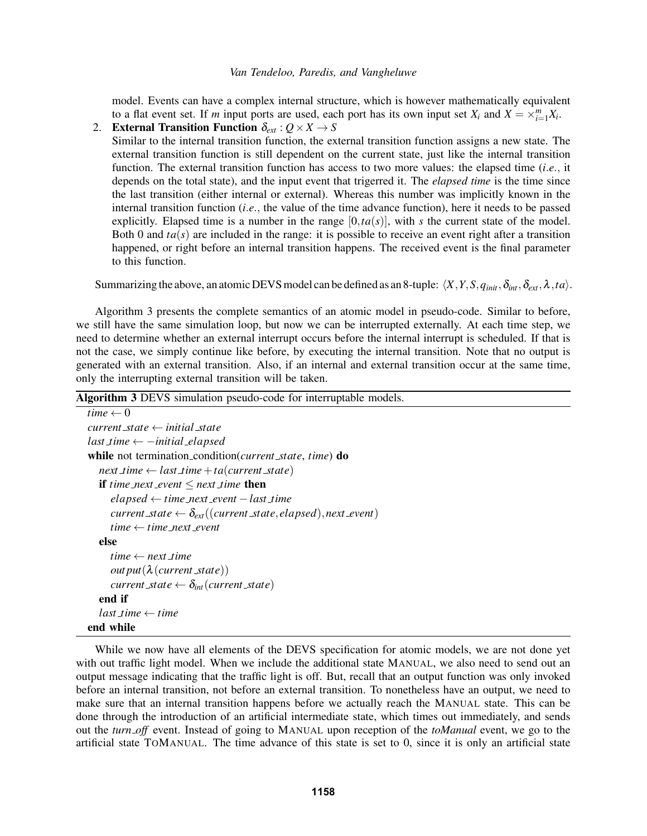model. Events can have a complex internal structure, which is however mathematically equivalent to a flat event set. If *m* input ports are used, each port has its own input set  $X_i$  and  $X = \times_{i=1}^m X_i$ . 2. External Transition Function  $\delta_{ext}$ :  $Q \times X \rightarrow S$ 

Similar to the internal transition function, the external transition function assigns a new state. The external transition function is still dependent on the current state, just like the internal transition function. The external transition function has access to two more values: the elapsed time (*i*.*e*., it depends on the total state), and the input event that trigerred it. The *elapsed time* is the time since the last transition (either internal or external). Whereas this number was implicitly known in the internal transition function (*i*.*e*., the value of the time advance function), here it needs to be passed explicitly. Elapsed time is a number in the range  $[0, ta(s)]$ , with *s* the current state of the model. Both 0 and  $ta(s)$  are included in the range: it is possible to receive an event right after a transition happened, or right before an internal transition happens. The received event is the final parameter to this function.

Summarizing the above, an atomic DEVS model can be defined as an 8-tuple:  $\langle X, Y, S, q_{init}, \delta_{int}, \delta_{ext}, \lambda, ta \rangle$ .

Algorithm [3](#page-6-0) presents the complete semantics of an atomic model in pseudo-code. Similar to before, we still have the same simulation loop, but now we can be interrupted externally. At each time step, we need to determine whether an external interrupt occurs before the internal interrupt is scheduled. If that is not the case, we simply continue like before, by executing the internal transition. Note that no output is generated with an external transition. Also, if an internal and external transition occur at the same time, only the interrupting external transition will be taken.

<span id="page-6-0"></span>

| Algorithm 3 DEVS simulation pseudo-code for interruptable models.               |
|---------------------------------------------------------------------------------|
| time $\leftarrow 0$                                                             |
| current_state $\leftarrow$ initial_state                                        |
| $last_time \leftarrow -initial\_elapped$                                        |
| while not termination condition ( <i>current state</i> , <i>time</i> ) do       |
| $next_time \leftarrow last_time + ta(current-state)$                            |
| <b>if</b> time_next_event $\leq$ next_time <b>then</b>                          |
| $elapsed \leftarrow time\_next\_event - last\_time$                             |
| current_state $\leftarrow \delta_{ext}((current\_state, elapsed), next\_event)$ |
| $time \leftarrow time\_next\_event$                                             |
| else                                                                            |
| $time \leftarrow next_time$                                                     |
| out put $(\lambda$ (current _state))                                            |
| current_state $\leftarrow \delta_{int}(current\_state)$                         |
| end if                                                                          |
| $last\_time \leftarrow time$                                                    |
| end while                                                                       |

While we now have all elements of the DEVS specification for atomic models, we are not done yet with out traffic light model. When we include the additional state MANUAL, we also need to send out an output message indicating that the traffic light is off. But, recall that an output function was only invoked before an internal transition, not before an external transition. To nonetheless have an output, we need to make sure that an internal transition happens before we actually reach the MANUAL state. This can be done through the introduction of an artificial intermediate state, which times out immediately, and sends out the *turn off* event. Instead of going to MANUAL upon reception of the *toManual* event, we go to the artificial state TOMANUAL. The time advance of this state is set to 0, since it is only an artificial state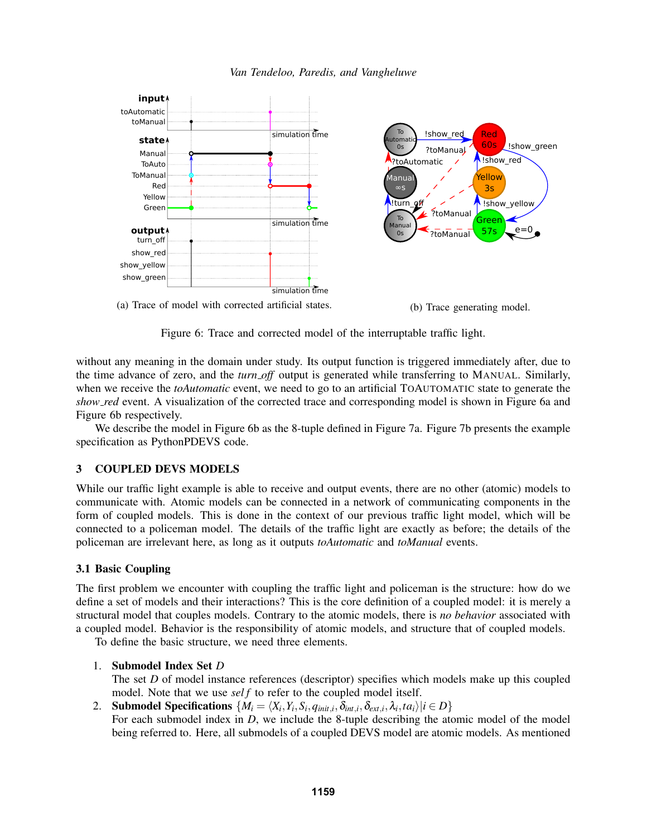![](_page_7_Figure_0.jpeg)

<span id="page-7-1"></span>![](_page_7_Figure_1.jpeg)

Figure 6: Trace and corrected model of the interruptable traffic light.

without any meaning in the domain under study. Its output function is triggered immediately after, due to the time advance of zero, and the *turn off* output is generated while transferring to MANUAL. Similarly, when we receive the *toAutomatic* event, we need to go to an artificial TOAUTOMATIC state to generate the *show red* event. A visualization of the corrected trace and corresponding model is shown in Figure [6a](#page-7-1) and Figure [6b](#page-7-1) respectively.

We describe the model in Figure [6b](#page-7-1) as the 8-tuple defined in Figure [7a.](#page-8-0) Figure [7b](#page-8-0) presents the example specification as PythonPDEVS code.

## <span id="page-7-0"></span>3 COUPLED DEVS MODELS

While our traffic light example is able to receive and output events, there are no other (atomic) models to communicate with. Atomic models can be connected in a network of communicating components in the form of coupled models. This is done in the context of our previous traffic light model, which will be connected to a policeman model. The details of the traffic light are exactly as before; the details of the policeman are irrelevant here, as long as it outputs *toAutomatic* and *toManual* events.

### 3.1 Basic Coupling

The first problem we encounter with coupling the traffic light and policeman is the structure: how do we define a set of models and their interactions? This is the core definition of a coupled model: it is merely a structural model that couples models. Contrary to the atomic models, there is *no behavior* associated with a coupled model. Behavior is the responsibility of atomic models, and structure that of coupled models.

To define the basic structure, we need three elements.

### 1. Submodel Index Set *D*

The set *D* of model instance references (descriptor) specifies which models make up this coupled model. Note that we use *sel f* to refer to the coupled model itself.

2. Submodel Specifications  $\{M_i = \langle X_i, Y_i, S_i, q_{\text{init},i}, \delta_{\text{int},i}, \delta_{\text{ext},i}, \lambda_i, ta_i \rangle | i \in D\}$ For each submodel index in *D*, we include the 8-tuple describing the atomic model of the model being referred to. Here, all submodels of a coupled DEVS model are atomic models. As mentioned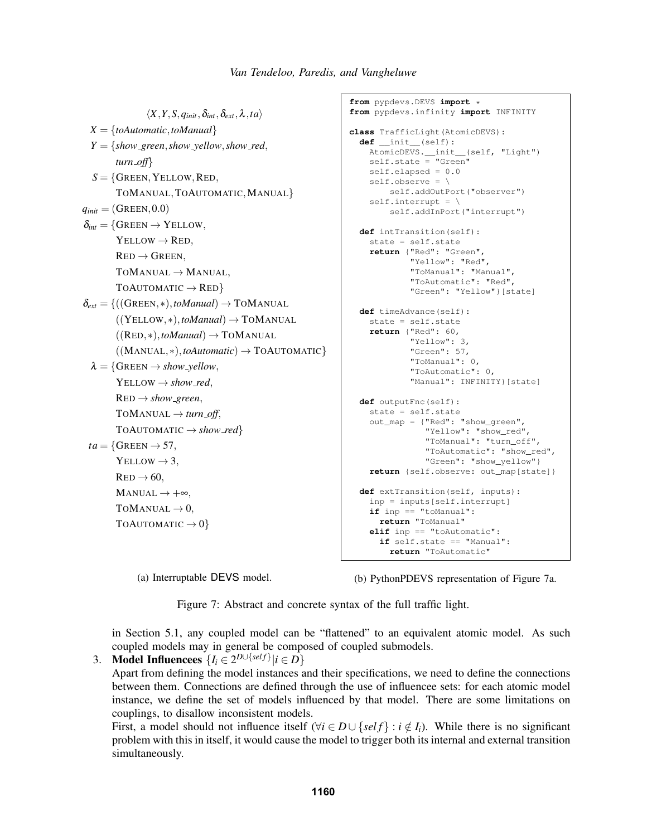<span id="page-8-0"></span> $\langle X, Y, S, q_{init}, \delta_{int}, \delta_{ext}, \lambda, ta \rangle$ *X* = {*toAutomatic*,*toManual*}  $Y = \{show\_green, show\_yellow, show\_red\}$ *turn off*}  $S = \{G$ REEN, YELLOW, RED, TOMANUAL,TOAUTOMATIC,MANUAL}  $q_{init} = (GREEN, 0.0)$  $\delta_{int} = \{$ GREEN  $\rightarrow$  YELLOW,  $YELLOW \rightarrow RED$ .  $RED \rightarrow GREEN$ ,  $TOMANUAL \rightarrow MANUAL$ , TOAUTOMATIC  $\rightarrow$  RED}  $\delta_{ext} = \{((Green, *), to Manual) \rightarrow ToMANUAL\}$  $((YELLOW, *), to Manual) \rightarrow TOMANUAL$  $((RED, *), to Manual) \rightarrow TOMANUAL$ ((MANUAL,∗),*toAutomatic*) → TOAUTOMATIC}  $\lambda = \{$ GREEN  $\rightarrow$  *show\_yellow*,  $YELLOW \rightarrow show\_red$ ,  $RED \rightarrow show\_green$ ,  $TOMANUAL \rightarrow turn\_off$ ,  $ToAUTOMATIC \rightarrow show\_red\}$  $ta = \{Green \rightarrow 57,$  $YELLOW \rightarrow 3$ .  $RED \rightarrow 60$ ,  $MANUAL \rightarrow +\infty$ , TOMANUAL  $\rightarrow$  0, TOAUTOMATIC  $\rightarrow 0$ 

**from** pypdevs.DEVS **import** \* **from** pypdevs.infinity **import** INFINITY **class** TrafficLight(AtomicDEVS): **def** \_\_init\_\_(self): AtomicDEVS.\_\_init\_\_(self, "Light") self.state = "Green" self.elapsed = 0.0 self.observe = \ self.addOutPort("observer") self.interrupt =  $\setminus$ self.addInPort("interrupt") **def** intTransition(self): state = self.state **return** {"Red": "Green", "Yellow": "Red", "ToManual": "Manual", "ToAutomatic": "Red", "Green": "Yellow"}[state] **def** timeAdvance(self): state = self.state **return** {"Red": 60, "Yellow": 3, "Green": 57, "ToManual": 0, "ToAutomatic": 0, "Manual": INFINITY}[state] **def** outputFnc(self): state = self.state out\_map = {"Red": "show\_green", "Yellow": "show\_red", "ToManual": "turn\_off", "ToAutomatic": "show\_red", "Green": "show\_yellow"} **return** {self.observe: out\_map[state]} **def** extTransition(self, inputs): inp = inputs[self.interrupt] **if** inp == "toManual": **return** "ToManual" **elif** inp == "toAutomatic": **if** self.state == "Manual":

(a) Interruptable DEVS model.

(b) PythonPDEVS representation of Figure [7a.](#page-8-0)

**return** "ToAutomatic"

Figure 7: Abstract and concrete syntax of the full traffic light.

in Section [5.1,](#page-12-1) any coupled model can be "flattened" to an equivalent atomic model. As such coupled models may in general be composed of coupled submodels.

3. **Model Influencees**  $\{I_i \in 2^{D \cup \{self\}} | i \in D\}$ 

Apart from defining the model instances and their specifications, we need to define the connections between them. Connections are defined through the use of influencee sets: for each atomic model instance, we define the set of models influenced by that model. There are some limitations on couplings, to disallow inconsistent models.

First, a model should not influence itself ( $\forall i \in D \cup \{self\} : i \notin I_i$ ). While there is no significant problem with this in itself, it would cause the model to trigger both its internal and external transition simultaneously.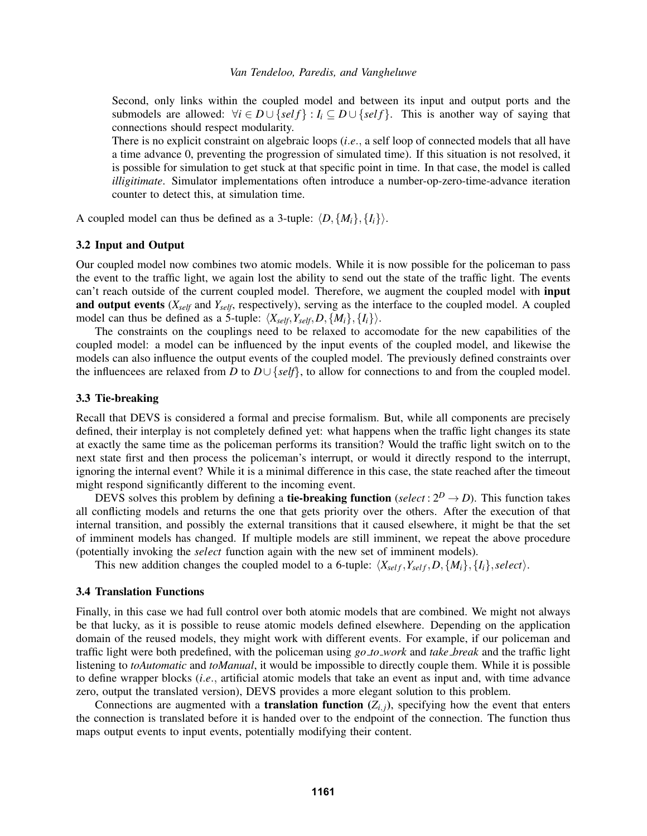Second, only links within the coupled model and between its input and output ports and the submodels are allowed:  $\forall i \in D \cup \{self\} : I_i \subseteq D \cup \{self\}$ . This is another way of saying that connections should respect modularity.

There is no explicit constraint on algebraic loops (*i*.*e*., a self loop of connected models that all have a time advance 0, preventing the progression of simulated time). If this situation is not resolved, it is possible for simulation to get stuck at that specific point in time. In that case, the model is called *illigitimate*. Simulator implementations often introduce a number-op-zero-time-advance iteration counter to detect this, at simulation time.

A coupled model can thus be defined as a 3-tuple:  $\langle D, \{M_i\}, \{I_i\}\rangle$ .

### 3.2 Input and Output

Our coupled model now combines two atomic models. While it is now possible for the policeman to pass the event to the traffic light, we again lost the ability to send out the state of the traffic light. The events can't reach outside of the current coupled model. Therefore, we augment the coupled model with input and output events (*Xself* and *Yself*, respectively), serving as the interface to the coupled model. A coupled model can thus be defined as a 5-tuple:  $\langle X_{self}, Y_{self}, D, \{M_i\}, \{I_i\} \rangle$ .

The constraints on the couplings need to be relaxed to accomodate for the new capabilities of the coupled model: a model can be influenced by the input events of the coupled model, and likewise the models can also influence the output events of the coupled model. The previously defined constraints over the influencees are relaxed from *D* to *D*∪ {*self*}, to allow for connections to and from the coupled model.

#### 3.3 Tie-breaking

Recall that DEVS is considered a formal and precise formalism. But, while all components are precisely defined, their interplay is not completely defined yet: what happens when the traffic light changes its state at exactly the same time as the policeman performs its transition? Would the traffic light switch on to the next state first and then process the policeman's interrupt, or would it directly respond to the interrupt, ignoring the internal event? While it is a minimal difference in this case, the state reached after the timeout might respond significantly different to the incoming event.

DEVS solves this problem by defining a **tie-breaking function** (*select* :  $2^D \rightarrow D$ ). This function takes all conflicting models and returns the one that gets priority over the others. After the execution of that internal transition, and possibly the external transitions that it caused elsewhere, it might be that the set of imminent models has changed. If multiple models are still imminent, we repeat the above procedure (potentially invoking the *select* function again with the new set of imminent models).

This new addition changes the coupled model to a 6-tuple:  $\langle X_{self}, Y_{self}, D, \{M_i\}, \{I_i\}, select \rangle$ .

## 3.4 Translation Functions

Finally, in this case we had full control over both atomic models that are combined. We might not always be that lucky, as it is possible to reuse atomic models defined elsewhere. Depending on the application domain of the reused models, they might work with different events. For example, if our policeman and traffic light were both predefined, with the policeman using *go to work* and *take break* and the traffic light listening to *toAutomatic* and *toManual*, it would be impossible to directly couple them. While it is possible to define wrapper blocks (*i*.*e*., artificial atomic models that take an event as input and, with time advance zero, output the translated version), DEVS provides a more elegant solution to this problem.

Connections are augmented with a **translation function**  $(Z_{i,j})$ , specifying how the event that enters the connection is translated before it is handed over to the endpoint of the connection. The function thus maps output events to input events, potentially modifying their content.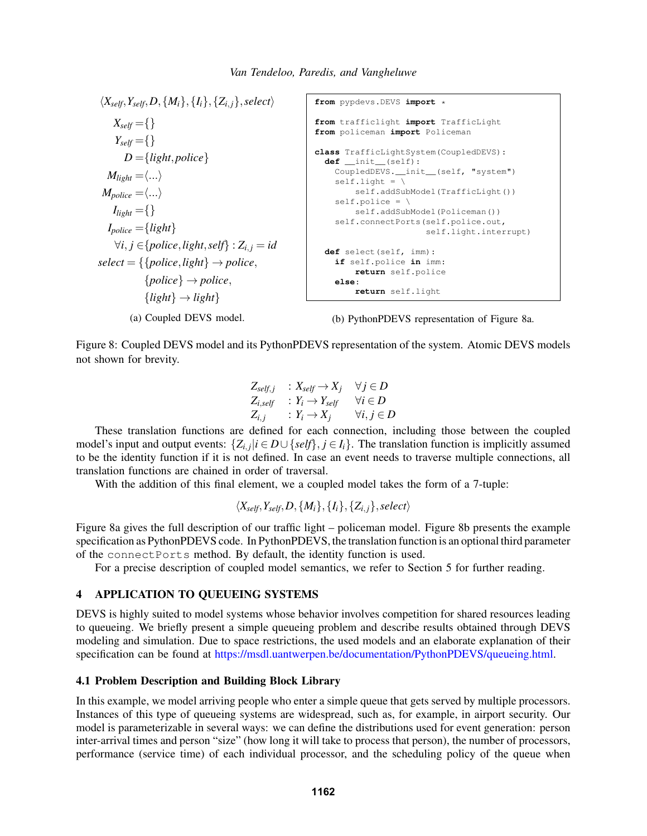<span id="page-10-1"></span> $\langle X_{self}, Y_{self}, D, \{M_i\}, \{I_i\}, \{Z_{i,j}\}, select\rangle$  $X_{\text{self}} = \{\}$  $Y_{\text{self}} = \{\}$  $D = \{light, police\}$  $M_{li} = \langle ... \rangle$  $M_{policy} = \langle ... \rangle$  $I_{light} = \{\}$  $I_{policy} = \{light\}$ ∀*i*, *j* ∈{*police*,*light*,*self*} : *Zi*, *<sup>j</sup>* = *id*  $select = \{\{police, light\} \rightarrow police,$  ${police} \rightarrow police,$  ${light} \rightarrow light$ (a) Coupled DEVS model. **from** pypdevs.DEVS **import** \* **from** trafficlight **import** TrafficLight **from** policeman **import** Policeman **class** TrafficLightSystem(CoupledDEVS): **def** \_\_init\_\_(self): CoupledDEVS.\_\_init\_\_(self, "system")  $selfuight = \ \ \ \ \ \$ self.addSubModel(TrafficLight()) self.police =  $\setminus$ self.addSubModel(Policeman()) self.connectPorts(self.police.out, self.light.interrupt) **def** select(self, imm): **if** self.police **in** imm: **return** self.police **else**: **return** self.light (b) PythonPDEVS representation of Figure [8a.](#page-10-1)

Figure 8: Coupled DEVS model and its PythonPDEVS representation of the system. Atomic DEVS models not shown for brevity.

$$
\begin{array}{lll} Z_{self,j} & : \textit{X}_{self} \rightarrow X_j & \forall j \in D \\ Z_{i, self} & : \textit{Y}_i \rightarrow \textit{Y}_{self} & \forall i \in D \\ Z_{i,j} & : \textit{Y}_i \rightarrow X_j & \forall i,j \in D \end{array}
$$

These translation functions are defined for each connection, including those between the coupled model's input and output events:  $\{Z_{i,j} | i \in D \cup \{self\}, j \in I_i\}$ . The translation function is implicitly assumed to be the identity function if it is not defined. In case an event needs to traverse multiple connections, all translation functions are chained in order of traversal.

With the addition of this final element, we a coupled model takes the form of a 7-tuple:

$$
\langle X_{self}, Y_{self}, D, \{M_i\}, \{I_i\}, \{Z_{i,j}\}, select \rangle
$$

Figure [8a](#page-10-1) gives the full description of our traffic light – policeman model. Figure [8b](#page-10-1) presents the example specification as PythonPDEVS code. In PythonPDEVS, the translation function is an optional third parameter of the connectPorts method. By default, the identity function is used.

For a precise description of coupled model semantics, we refer to Section [5](#page-12-0) for further reading.

## <span id="page-10-0"></span>4 APPLICATION TO QUEUEING SYSTEMS

DEVS is highly suited to model systems whose behavior involves competition for shared resources leading to queueing. We briefly present a simple queueing problem and describe results obtained through DEVS modeling and simulation. Due to space restrictions, the used models and an elaborate explanation of their specification can be found at [https://msdl.uantwerpen.be/documentation/PythonPDEVS/queueing.html.](https://msdl.uantwerpen.be/documentation/PythonPDEVS/queueing.html)

### 4.1 Problem Description and Building Block Library

In this example, we model arriving people who enter a simple queue that gets served by multiple processors. Instances of this type of queueing systems are widespread, such as, for example, in airport security. Our model is parameterizable in several ways: we can define the distributions used for event generation: person inter-arrival times and person "size" (how long it will take to process that person), the number of processors, performance (service time) of each individual processor, and the scheduling policy of the queue when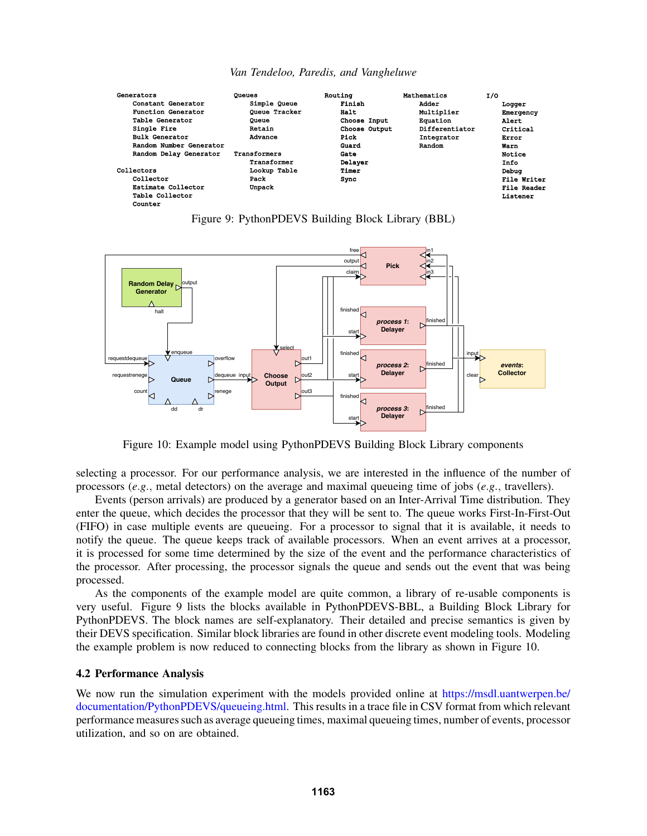<span id="page-11-0"></span>![](_page_11_Figure_0.jpeg)

*Van Tendeloo, Paredis, and Vangheluwe*

Figure 9: PythonPDEVS Building Block Library (BBL)

<span id="page-11-1"></span>![](_page_11_Figure_3.jpeg)

Figure 10: Example model using PythonPDEVS Building Block Library components

selecting a processor. For our performance analysis, we are interested in the influence of the number of processors (*e*.*g*., metal detectors) on the average and maximal queueing time of jobs (*e*.*g*., travellers).

Events (person arrivals) are produced by a generator based on an Inter-Arrival Time distribution. They enter the queue, which decides the processor that they will be sent to. The queue works First-In-First-Out (FIFO) in case multiple events are queueing. For a processor to signal that it is available, it needs to notify the queue. The queue keeps track of available processors. When an event arrives at a processor, it is processed for some time determined by the size of the event and the performance characteristics of the processor. After processing, the processor signals the queue and sends out the event that was being processed.

As the components of the example model are quite common, a library of re-usable components is very useful. Figure [9](#page-11-0) lists the blocks available in PythonPDEVS-BBL, a Building Block Library for PythonPDEVS. The block names are self-explanatory. Their detailed and precise semantics is given by their DEVS specification. Similar block libraries are found in other discrete event modeling tools. Modeling the example problem is now reduced to connecting blocks from the library as shown in Figure [10.](#page-11-1)

### 4.2 Performance Analysis

We now run the simulation experiment with the models provided online at [https://msdl.uantwerpen.be/](https://msdl.uantwerpen.be/documentation/PythonPDEVS/queueing.html) [documentation/PythonPDEVS/queueing.html.](https://msdl.uantwerpen.be/documentation/PythonPDEVS/queueing.html) This results in a trace file in CSV format from which relevant performance measures such as average queueing times, maximal queueing times, number of events, processor utilization, and so on are obtained.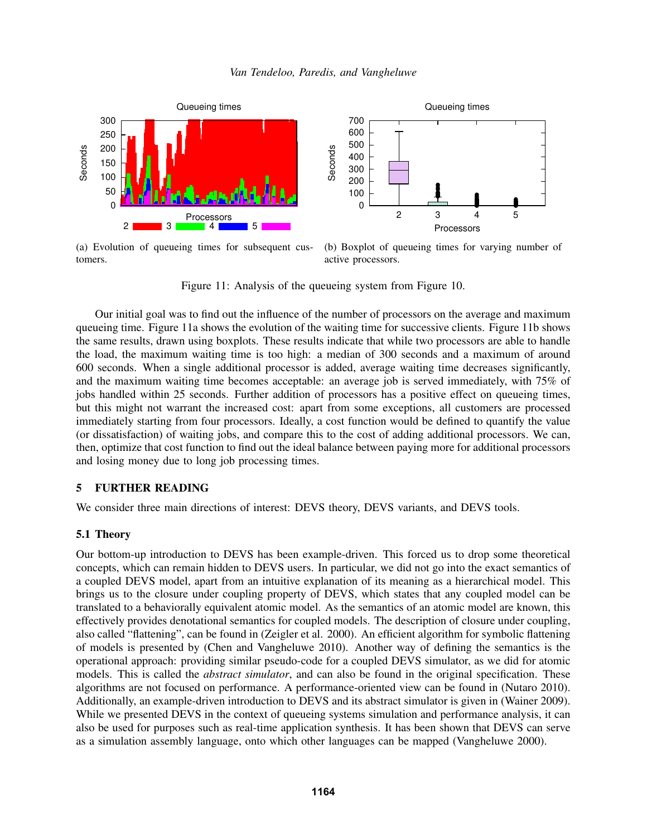<span id="page-12-2"></span>![](_page_12_Figure_1.jpeg)

(a) Evolution of queueing times for subsequent customers.

![](_page_12_Figure_3.jpeg)

Figure 11: Analysis of the queueing system from Figure [10.](#page-11-1)

Our initial goal was to find out the influence of the number of processors on the average and maximum queueing time. Figure [11a](#page-12-2) shows the evolution of the waiting time for successive clients. Figure [11b](#page-12-2) shows the same results, drawn using boxplots. These results indicate that while two processors are able to handle the load, the maximum waiting time is too high: a median of 300 seconds and a maximum of around 600 seconds. When a single additional processor is added, average waiting time decreases significantly, and the maximum waiting time becomes acceptable: an average job is served immediately, with 75% of jobs handled within 25 seconds. Further addition of processors has a positive effect on queueing times, but this might not warrant the increased cost: apart from some exceptions, all customers are processed immediately starting from four processors. Ideally, a cost function would be defined to quantify the value (or dissatisfaction) of waiting jobs, and compare this to the cost of adding additional processors. We can, then, optimize that cost function to find out the ideal balance between paying more for additional processors and losing money due to long job processing times.

## <span id="page-12-0"></span>5 FURTHER READING

We consider three main directions of interest: DEVS theory, DEVS variants, and DEVS tools.

#### <span id="page-12-1"></span>5.1 Theory

Our bottom-up introduction to DEVS has been example-driven. This forced us to drop some theoretical concepts, which can remain hidden to DEVS users. In particular, we did not go into the exact semantics of a coupled DEVS model, apart from an intuitive explanation of its meaning as a hierarchical model. This brings us to the closure under coupling property of DEVS, which states that any coupled model can be translated to a behaviorally equivalent atomic model. As the semantics of an atomic model are known, this effectively provides denotational semantics for coupled models. The description of closure under coupling, also called "flattening", can be found in [\(Zeigler et al. 2000\)](#page-14-0). An efficient algorithm for symbolic flattening of models is presented by [\(Chen and Vangheluwe 2010\)](#page-14-3). Another way of defining the semantics is the operational approach: providing similar pseudo-code for a coupled DEVS simulator, as we did for atomic models. This is called the *abstract simulator*, and can also be found in the original specification. These algorithms are not focused on performance. A performance-oriented view can be found in [\(Nutaro 2010\)](#page-14-4). Additionally, an example-driven introduction to DEVS and its abstract simulator is given in [\(Wainer 2009\)](#page-14-5). While we presented DEVS in the context of queueing systems simulation and performance analysis, it can also be used for purposes such as real-time application synthesis. It has been shown that DEVS can serve as a simulation assembly language, onto which other languages can be mapped [\(Vangheluwe 2000\)](#page-14-6).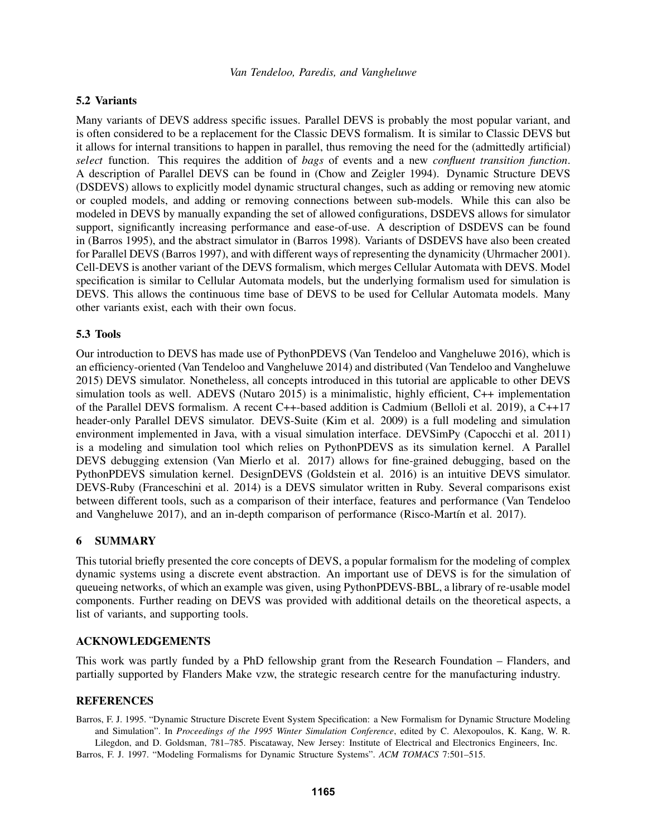### 5.2 Variants

Many variants of DEVS address specific issues. Parallel DEVS is probably the most popular variant, and is often considered to be a replacement for the Classic DEVS formalism. It is similar to Classic DEVS but it allows for internal transitions to happen in parallel, thus removing the need for the (admittedly artificial) *select* function. This requires the addition of *bags* of events and a new *confluent transition function*. A description of Parallel DEVS can be found in [\(Chow and Zeigler 1994\)](#page-14-7). Dynamic Structure DEVS (DSDEVS) allows to explicitly model dynamic structural changes, such as adding or removing new atomic or coupled models, and adding or removing connections between sub-models. While this can also be modeled in DEVS by manually expanding the set of allowed configurations, DSDEVS allows for simulator support, significantly increasing performance and ease-of-use. A description of DSDEVS can be found in [\(Barros 1995\)](#page-13-1), and the abstract simulator in [\(Barros 1998\)](#page-14-8). Variants of DSDEVS have also been created for Parallel DEVS [\(Barros 1997\)](#page-13-2), and with different ways of representing the dynamicity [\(Uhrmacher 2001\)](#page-14-9). Cell-DEVS is another variant of the DEVS formalism, which merges Cellular Automata with DEVS. Model specification is similar to Cellular Automata models, but the underlying formalism used for simulation is DEVS. This allows the continuous time base of DEVS to be used for Cellular Automata models. Many other variants exist, each with their own focus.

### 5.3 Tools

Our introduction to DEVS has made use of PythonPDEVS [\(Van Tendeloo and Vangheluwe 2016\)](#page-14-2), which is an efficiency-oriented [\(Van Tendeloo and Vangheluwe 2014\)](#page-14-10) and distributed [\(Van Tendeloo and Vangheluwe](#page-14-11) [2015\)](#page-14-11) DEVS simulator. Nonetheless, all concepts introduced in this tutorial are applicable to other DEVS simulation tools as well. ADEVS [\(Nutaro 2015\)](#page-14-12) is a minimalistic, highly efficient, C++ implementation of the Parallel DEVS formalism. A recent C++-based addition is Cadmium [\(Belloli et al. 2019\)](#page-14-13), a C++17 header-only Parallel DEVS simulator. DEVS-Suite [\(Kim et al. 2009\)](#page-14-14) is a full modeling and simulation environment implemented in Java, with a visual simulation interface. DEVSimPy [\(Capocchi et al. 2011\)](#page-14-15) is a modeling and simulation tool which relies on PythonPDEVS as its simulation kernel. A Parallel DEVS debugging extension [\(Van Mierlo et al. 2017\)](#page-14-16) allows for fine-grained debugging, based on the PythonPDEVS simulation kernel. DesignDEVS [\(Goldstein et al. 2016\)](#page-14-17) is an intuitive DEVS simulator. DEVS-Ruby [\(Franceschini et al. 2014\)](#page-14-18) is a DEVS simulator written in Ruby. Several comparisons exist between different tools, such as a comparison of their interface, features and performance [\(Van Tendeloo](#page-14-19) [and Vangheluwe 2017\)](#page-14-19), and an in-depth comparison of performance (Risco-Martín et al. 2017).

### <span id="page-13-0"></span>6 SUMMARY

This tutorial briefly presented the core concepts of DEVS, a popular formalism for the modeling of complex dynamic systems using a discrete event abstraction. An important use of DEVS is for the simulation of queueing networks, of which an example was given, using PythonPDEVS-BBL, a library of re-usable model components. Further reading on DEVS was provided with additional details on the theoretical aspects, a list of variants, and supporting tools.

### ACKNOWLEDGEMENTS

This work was partly funded by a PhD fellowship grant from the Research Foundation – Flanders, and partially supported by Flanders Make vzw, the strategic research centre for the manufacturing industry.

### **REFERENCES**

<span id="page-13-2"></span><span id="page-13-1"></span>Barros, F. J. 1995. "Dynamic Structure Discrete Event System Specification: a New Formalism for Dynamic Structure Modeling and Simulation". In *Proceedings of the 1995 Winter Simulation Conference*, edited by C. Alexopoulos, K. Kang, W. R. Lilegdon, and D. Goldsman, 781–785. Piscataway, New Jersey: Institute of Electrical and Electronics Engineers, Inc. Barros, F. J. 1997. "Modeling Formalisms for Dynamic Structure Systems". *ACM TOMACS* 7:501–515.